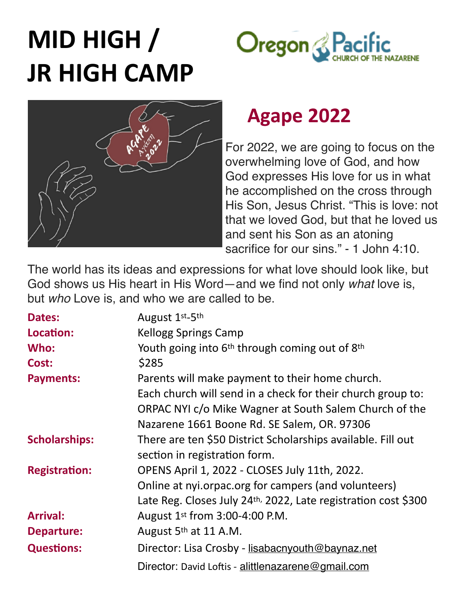# **MID HIGH / Oregon** & Pac **JR HIGH CAMP**



# **Agape 2022**

For 2022, we are going to focus on the overwhelming love of God, and how God expresses His love for us in what he accomplished on the cross through His Son, Jesus Christ. "This is love: not that we loved God, but that he loved us and sent his Son as an atoning sacrifice for our sins." - 1 John 4:10.

The world has its ideas and expressions for what love should look like, but God shows us His heart in His Word—and we find not only *what* love is, but *who* Love is, and who we are called to be.

| <b>Dates:</b>        | August 1st-5th                                                         |  |
|----------------------|------------------------------------------------------------------------|--|
| Location:            | <b>Kellogg Springs Camp</b>                                            |  |
| Who:                 | Youth going into 6 <sup>th</sup> through coming out of 8 <sup>th</sup> |  |
| Cost:                | \$285                                                                  |  |
| <b>Payments:</b>     | Parents will make payment to their home church.                        |  |
|                      | Each church will send in a check for their church group to:            |  |
|                      | ORPAC NYI c/o Mike Wagner at South Salem Church of the                 |  |
|                      | Nazarene 1661 Boone Rd. SE Salem, OR. 97306                            |  |
| <b>Scholarships:</b> | There are ten \$50 District Scholarships available. Fill out           |  |
|                      | section in registration form.                                          |  |
| <b>Registration:</b> | OPENS April 1, 2022 - CLOSES July 11th, 2022.                          |  |
|                      | Online at nyi.orpac.org for campers (and volunteers)                   |  |
|                      | Late Reg. Closes July 24th, 2022, Late registration cost \$300         |  |
| <b>Arrival:</b>      | August 1st from 3:00-4:00 P.M.                                         |  |
| <b>Departure:</b>    | August 5 <sup>th</sup> at 11 A.M.                                      |  |
| <b>Questions:</b>    | Director: Lisa Crosby - lisabacnyouth@baynaz.net                       |  |
|                      | Director: David Loftis - alittlenazarene@gmail.com                     |  |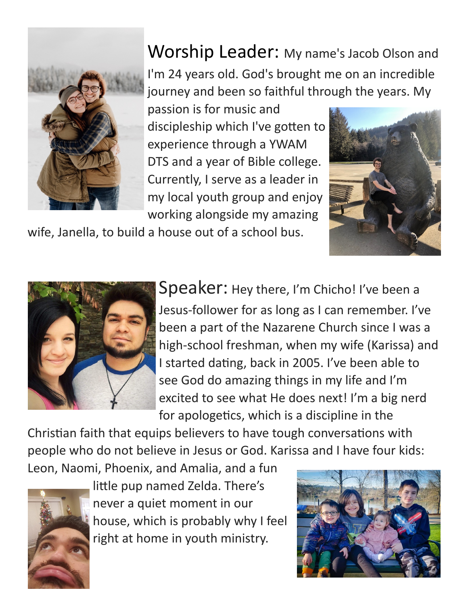

## Worship Leader: My name's Jacob Olson and I'm 24 years old. God's brought me on an incredible

journey and been so faithful through the years. My passion is for music and discipleship which I've gotten to experience through a YWAM DTS and a year of Bible college. Currently, I serve as a leader in my local youth group and enjoy

working alongside my amazing



wife, Janella, to build a house out of a school bus.



Speaker: Hey there, I'm Chicho! I've been a

Jesus-follower for as long as I can remember. I've been a part of the Nazarene Church since I was a high-school freshman, when my wife (Karissa) and I started dating, back in 2005. I've been able to see God do amazing things in my life and I'm excited to see what He does next! I'm a big nerd for apologetics, which is a discipline in the

Christian faith that equips believers to have tough conversations with people who do not believe in Jesus or God. Karissa and I have four kids:

Leon, Naomi, Phoenix, and Amalia, and a fun



little pup named Zelda. There's never a quiet moment in our house, which is probably why I feel right at home in youth ministry.

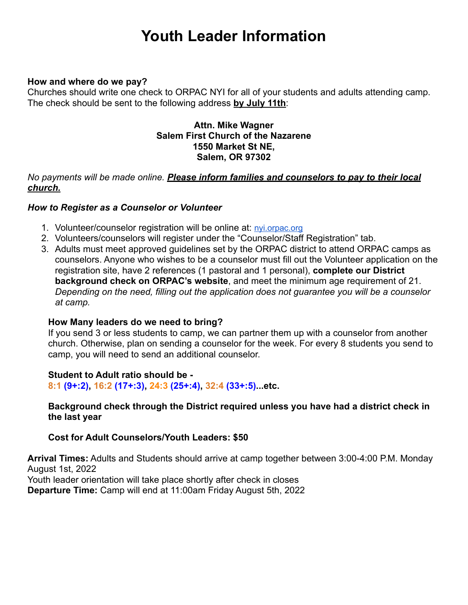## **Youth Leader Information**

#### **How and where do we pay?**

Churches should write one check to ORPAC NYI for all of your students and adults attending camp. The check should be sent to the following address **by July 11th**:

#### **Attn. Mike Wagner Salem First Church of the Nazarene 1550 Market St NE, Salem, OR 97302**

#### *No payments will be made online. Please inform families and counselors to pay to their local church.*

#### *How to Register as a Counselor or Volunteer*

- 1. Volunteer/counselor registration will be online at: [nyi.orpac.org](http://nyi.orpac.org/)
- 2. Volunteers/counselors will register under the "Counselor/Staff Registration" tab.
- 3. Adults must meet approved guidelines set by the ORPAC district to attend ORPAC camps as counselors. Anyone who wishes to be a counselor must fill out the Volunteer application on the registration site, have 2 references (1 pastoral and 1 personal), **complete our District background check on ORPAC's website**, and meet the minimum age requirement of 21. *Depending on the need, filling out the application does not guarantee you will be a counselor at camp.*

#### **How Many leaders do we need to bring?**

If you send 3 or less students to camp, we can partner them up with a counselor from another church. Otherwise, plan on sending a counselor for the week. For every 8 students you send to camp, you will need to send an additional counselor.

#### **Student to Adult ratio should be -**

**8:1 (9+:2), 16:2 (17+:3), 24:3 (25+:4), 32:4 (33+:5)...etc.**

#### **Background check through the District required unless you have had a district check in the last year**

#### **Cost for Adult Counselors/Youth Leaders: \$50**

**Arrival Times:** Adults and Students should arrive at camp together between 3:00-4:00 P.M. Monday August 1st, 2022 Youth leader orientation will take place shortly after check in closes

**Departure Time:** Camp will end at 11:00am Friday August 5th, 2022